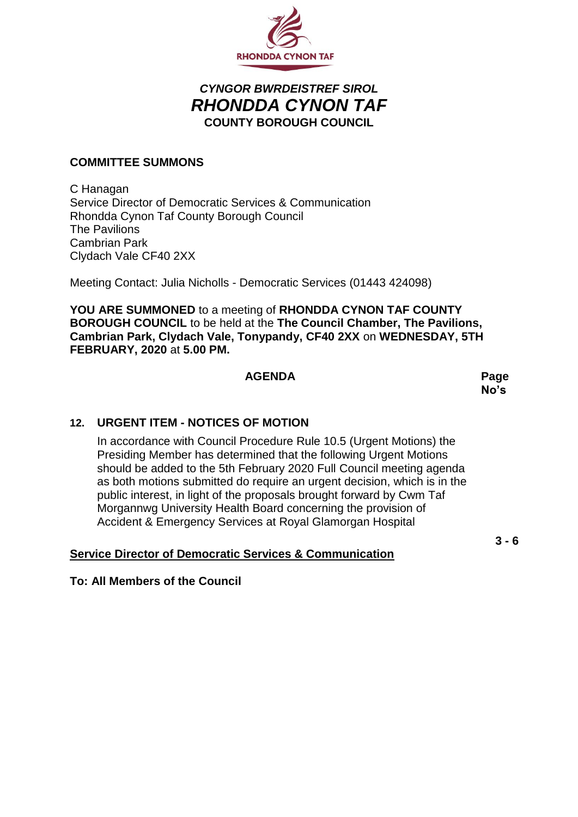

# *CYNGOR BWRDEISTREF SIROL RHONDDA CYNON TAF* **COUNTY BOROUGH COUNCIL**

#### **COMMITTEE SUMMONS**

C Hanagan Service Director of Democratic Services & Communication Rhondda Cynon Taf County Borough Council The Pavilions Cambrian Park Clydach Vale CF40 2XX

Meeting Contact: Julia Nicholls - Democratic Services (01443 424098)

**YOU ARE SUMMONED** to a meeting of **RHONDDA CYNON TAF COUNTY BOROUGH COUNCIL** to be held at the **The Council Chamber, The Pavilions, Cambrian Park, Clydach Vale, Tonypandy, CF40 2XX** on **WEDNESDAY, 5TH FEBRUARY, 2020** at **5.00 PM.**

#### **AGENDA Page**

**No's**

## **12. URGENT ITEM - NOTICES OF MOTION**

In accordance with Council Procedure Rule 10.5 (Urgent Motions) the Presiding Member has determined that the following Urgent Motions should be added to the 5th February 2020 Full Council meeting agenda as both motions submitted do require an urgent decision, which is in the public interest, in light of the proposals brought forward by Cwm Taf Morgannwg University Health Board concerning the provision of Accident & Emergency Services at Royal Glamorgan Hospital

## **Service Director of Democratic Services & Communication**

**3 - 6**

#### **To: All Members of the Council**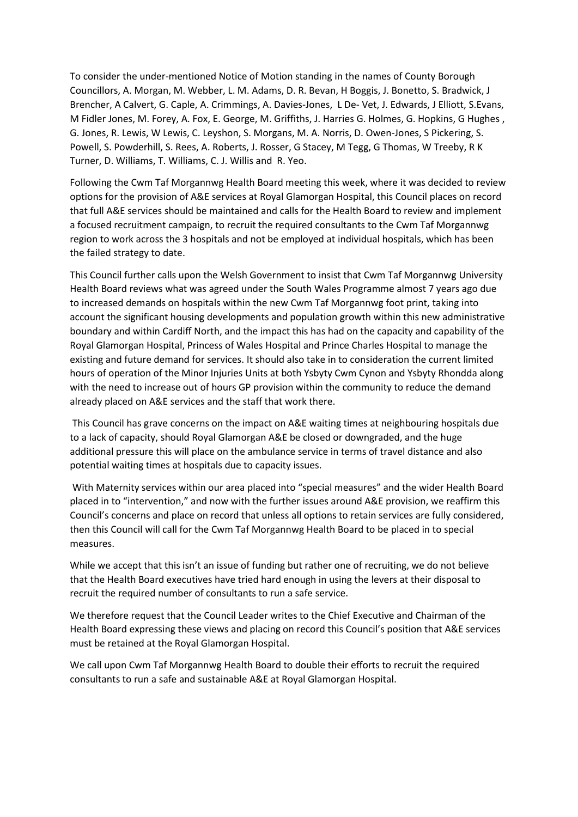To consider the under-mentioned Notice of Motion standing in the names of County Borough Councillors, A. Morgan, M. Webber, L. M. Adams, D. R. Bevan, H Boggis, J. Bonetto, S. Bradwick, J Brencher, A Calvert, G. Caple, A. Crimmings, A. Davies-Jones, L De- Vet, J. Edwards, J Elliott, S.Evans, M Fidler Jones, M. Forey, A. Fox, E. George, M. Griffiths, J. Harries G. Holmes, G. Hopkins, G Hughes , G. Jones, R. Lewis, W Lewis, C. Leyshon, S. Morgans, M. A. Norris, D. Owen-Jones, S Pickering, S. Powell, S. Powderhill, S. Rees, A. Roberts, J. Rosser, G Stacey, M Tegg, G Thomas, W Treeby, R K Turner, D. Williams, T. Williams, C. J. Willis and R. Yeo.

Following the Cwm Taf Morgannwg Health Board meeting this week, where it was decided to review options for the provision of A&E services at Royal Glamorgan Hospital, this Council places on record that full A&E services should be maintained and calls for the Health Board to review and implement a focused recruitment campaign, to recruit the required consultants to the Cwm Taf Morgannwg region to work across the 3 hospitals and not be employed at individual hospitals, which has been the failed strategy to date.

This Council further calls upon the Welsh Government to insist that Cwm Taf Morgannwg University Health Board reviews what was agreed under the South Wales Programme almost 7 years ago due to increased demands on hospitals within the new Cwm Taf Morgannwg foot print, taking into account the significant housing developments and population growth within this new administrative boundary and within Cardiff North, and the impact this has had on the capacity and capability of the Royal Glamorgan Hospital, Princess of Wales Hospital and Prince Charles Hospital to manage the existing and future demand for services. It should also take in to consideration the current limited hours of operation of the Minor Injuries Units at both Ysbyty Cwm Cynon and Ysbyty Rhondda along with the need to increase out of hours GP provision within the community to reduce the demand already placed on A&E services and the staff that work there.

This Council has grave concerns on the impact on A&E waiting times at neighbouring hospitals due to a lack of capacity, should Royal Glamorgan A&E be closed or downgraded, and the huge additional pressure this will place on the ambulance service in terms of travel distance and also potential waiting times at hospitals due to capacity issues.

With Maternity services within our area placed into "special measures" and the wider Health Board placed in to "intervention," and now with the further issues around A&E provision, we reaffirm this Council's concerns and place on record that unless all options to retain services are fully considered, then this Council will call for the Cwm Taf Morgannwg Health Board to be placed in to special measures.

While we accept that this isn't an issue of funding but rather one of recruiting, we do not believe that the Health Board executives have tried hard enough in using the levers at their disposal to recruit the required number of consultants to run a safe service.

We therefore request that the Council Leader writes to the Chief Executive and Chairman of the Health Board expressing these views and placing on record this Council's position that A&E services must be retained at the Royal Glamorgan Hospital.

We call upon Cwm Taf Morgannwg Health Board to double their efforts to recruit the required consultants to run a safe and sustainable A&E at Royal Glamorgan Hospital.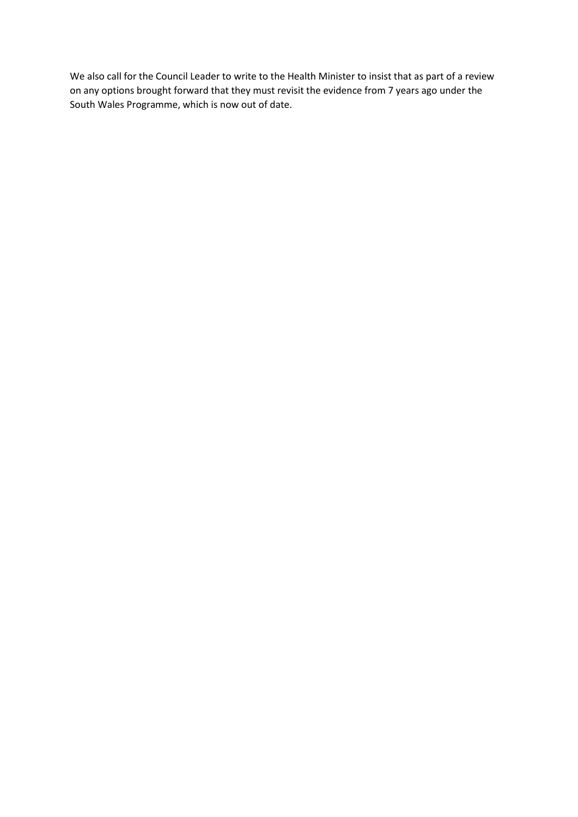We also call for the Council Leader to write to the Health Minister to insist that as part of a review on any options brought forward that they must revisit the evidence from 7 years ago under the South Wales Programme, which is now out of date.